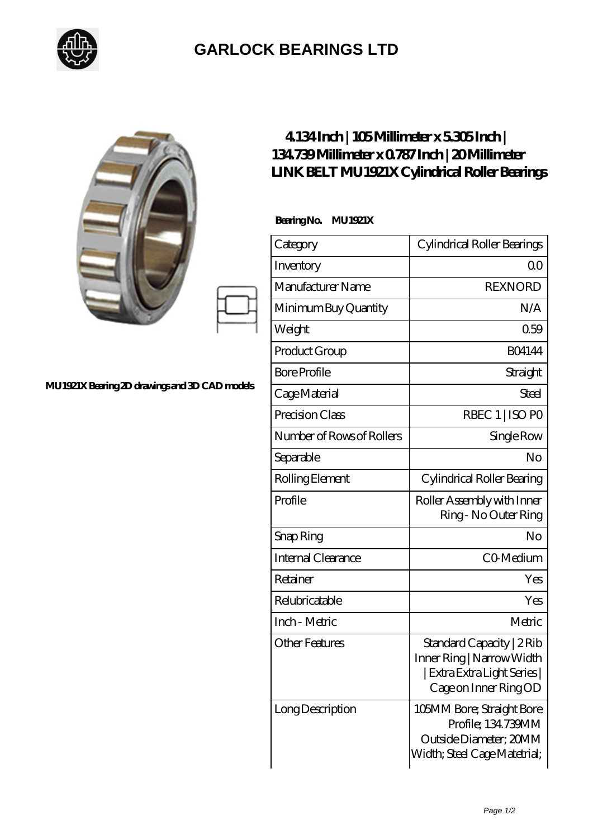

## **[GARLOCK BEARINGS LTD](https://m.letterstopriests.com)**

|                                          | 41341nch   105Millimeterx53051nch  <br>134739Millimeter x 0787Inch   20Millimeter<br>LINK BELT MU 1921X Cylindrical Roller Bearings<br>BearingNo.<br><b>MU 1921X</b> |                                                                                                                |
|------------------------------------------|----------------------------------------------------------------------------------------------------------------------------------------------------------------------|----------------------------------------------------------------------------------------------------------------|
|                                          | Category                                                                                                                                                             | Cylindrical Roller Bearings                                                                                    |
|                                          | Inventory                                                                                                                                                            | 0 <sup>0</sup>                                                                                                 |
|                                          | Manufacturer Name                                                                                                                                                    | <b>REXNORD</b>                                                                                                 |
|                                          | Minimum Buy Quantity                                                                                                                                                 | N/A                                                                                                            |
|                                          | Weight                                                                                                                                                               | 0.59                                                                                                           |
|                                          | Product Group                                                                                                                                                        | <b>BO4144</b>                                                                                                  |
|                                          | <b>Bore Profile</b>                                                                                                                                                  | Straight                                                                                                       |
| 21XBearing 2D drawings and 3D CAD models | Cage Material                                                                                                                                                        | <b>Steel</b>                                                                                                   |
|                                          | Precision Class                                                                                                                                                      | RBEC 1   ISO PO                                                                                                |
|                                          | Number of Rows of Rollers                                                                                                                                            | Single Row                                                                                                     |
|                                          | Separable                                                                                                                                                            | No                                                                                                             |
|                                          | Rolling Element                                                                                                                                                      | Cylindrical Roller Bearing                                                                                     |
|                                          | Profile                                                                                                                                                              | Roller Assembly with Inner<br>Ring - No Outer Ring                                                             |
|                                          | Snap Ring                                                                                                                                                            | No                                                                                                             |
|                                          | <b>Internal Clearance</b>                                                                                                                                            | CO-Medium                                                                                                      |
|                                          | Retainer                                                                                                                                                             | Yes                                                                                                            |
|                                          | Relubricatable                                                                                                                                                       | Yes                                                                                                            |
|                                          | Inch - Metric                                                                                                                                                        | Metric                                                                                                         |
|                                          | <b>Other Features</b>                                                                                                                                                | Standard Capacity   2Rib<br>Inner Ring   Narrow Width<br>  Extra Extra Light Series  <br>Cage on Inner Ring OD |
|                                          | Long Description                                                                                                                                                     | 105MM Bore; Straight Bore<br>Profile; 134.739MM<br>Outside Diameter; 20MM<br>Width; Steel Cage Matetrial;      |

MU1921X Bea